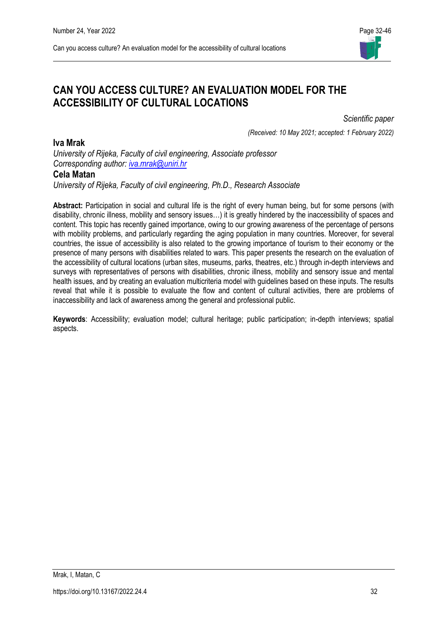

# **CAN YOU ACCESS CULTURE? AN EVALUATION MODEL FOR THE ACCESSIBILITY OF CULTURAL LOCATIONS**

*Scientific paper* 

*(Received: 10 May 2021; accepted: 1 February 2022)*

**Iva Mrak**

*University of Rijeka, Faculty of civil engineering, Associate professor Corresponding author: [iva.mrak@uniri.hr](mailto:email-address@gmail.com)*

### **Cela Matan**

*University of Rijeka, Faculty of civil engineering, Ph.D., Research Associate*

**Abstract:** Participation in social and cultural life is the right of every human being, but for some persons (with disability, chronic illness, mobility and sensory issues…) it is greatly hindered by the inaccessibility of spaces and content. This topic has recently gained importance, owing to our growing awareness of the percentage of persons with mobility problems, and particularly regarding the aging population in many countries. Moreover, for several countries, the issue of accessibility is also related to the growing importance of tourism to their economy or the presence of many persons with disabilities related to wars. This paper presents the research on the evaluation of the accessibility of cultural locations (urban sites, museums, parks, theatres, etc.) through in-depth interviews and surveys with representatives of persons with disabilities, chronic illness, mobility and sensory issue and mental health issues, and by creating an evaluation multicriteria model with guidelines based on these inputs. The results reveal that while it is possible to evaluate the flow and content of cultural activities, there are problems of inaccessibility and lack of awareness among the general and professional public.

**Keywords**: Accessibility; evaluation model; cultural heritage; public participation; in-depth interviews; spatial aspects.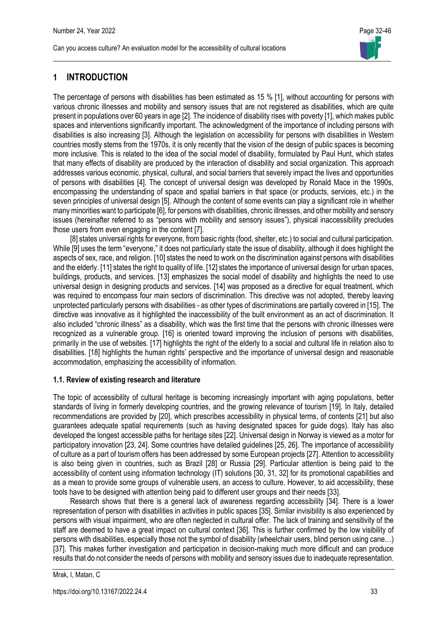## **1 INTRODUCTION**

The percentage of persons with disabilities has been estimated as 15 % [1], without accounting for persons with various chronic illnesses and mobility and sensory issues that are not registered as disabilities, which are quite present in populations over 60 years in age [2]. The incidence of disability rises with poverty [1], which makes public spaces and interventions significantly important. The acknowledgment of the importance of including persons with disabilities is also increasing [3]. Although the legislation on accessibility for persons with disabilities in Western countries mostly stems from the 1970s, it is only recently that the vision of the design of public spaces is becoming more inclusive. This is related to the idea of the social model of disability, formulated by Paul Hunt, which states that many effects of disability are produced by the interaction of disability and social organization. This approach addresses various economic, physical, cultural, and social barriers that severely impact the lives and opportunities of persons with disabilities [4]. The concept of universal design was developed by Ronald Mace in the 1990s, encompassing the understanding of space and spatial barriers in that space (or products, services, etc.) in the seven principles of universal design [5]. Although the content of some events can play a significant role in whether many minorities want to participate [6], for persons with disabilities, chronic illnesses, and other mobility and sensory issues (hereinafter referred to as "persons with mobility and sensory issues"), physical inaccessibility precludes those users from even engaging in the content [7].

[8] states universal rights for everyone, from basic rights (food, shelter, etc.) to social and cultural participation. While [9] uses the term "everyone," it does not particularly state the issue of disability, although it does highlight the aspects of sex, race, and religion. [10] states the need to work on the discrimination against persons with disabilities and the elderly. [11] states the right to quality of life. [12] states the importance of universal design for urban spaces, buildings, products, and services. [13] emphasizes the social model of disability and highlights the need to use universal design in designing products and services. [14] was proposed as a directive for equal treatment, which was required to encompass four main sectors of discrimination. This directive was not adopted, thereby leaving unprotected particularly persons with disabilities - as other types of discriminations are partially covered in [15]. The directive was innovative as it highlighted the inaccessibility of the built environment as an act of discrimination. It also included "chronic illness" as a disability, which was the first time that the persons with chronic illnesses were recognized as a vulnerable group. [16] is oriented toward improving the inclusion of persons with disabilities, primarily in the use of websites. [17] highlights the right of the elderly to a social and cultural life in relation also to disabilities. [18] highlights the human rights' perspective and the importance of universal design and reasonable accommodation, emphasizing the accessibility of information.

### **1.1. Review of existing research and literature**

The topic of accessibility of cultural heritage is becoming increasingly important with aging populations, better standards of living in formerly developing countries, and the growing relevance of tourism [19]. In Italy, detailed recommendations are provided by [20], which prescribes accessibility in physical terms, of contents [21] but also guarantees adequate spatial requirements (such as having designated spaces for guide dogs). Italy has also developed the longest accessible paths for heritage sites [22]. Universal design in Norway is viewed as a motor for participatory innovation [23, 24]. Some countries have detailed guidelines [25, 26]. The importance of accessibility of culture as a part of tourism offers has been addressed by some European projects [27]. Attention to accessibility is also being given in countries, such as Brazil [28] or Russia [29]. Particular attention is being paid to the accessibility of content using information technology (IT) solutions [30, 31, 32] for its promotional capabilities and as a mean to provide some groups of vulnerable users, an access to culture. However, to aid accessibility, these tools have to be designed with attention being paid to different user groups and their needs [33].

Research shows that there is a general lack of awareness regarding accessibility [34]. There is a lower representation of person with disabilities in activities in public spaces [35]. Similar invisibility is also experienced by persons with visual impairment, who are often neglected in cultural offer. The lack of training and sensitivity of the staff are deemed to have a great impact on cultural context [36]. This is further confirmed by the low visibility of persons with disabilities, especially those not the symbol of disability (wheelchair users, blind person using cane…) [37]. This makes further investigation and participation in decision-making much more difficult and can produce results that do not consider the needs of persons with mobility and sensory issues due to inadequate representation.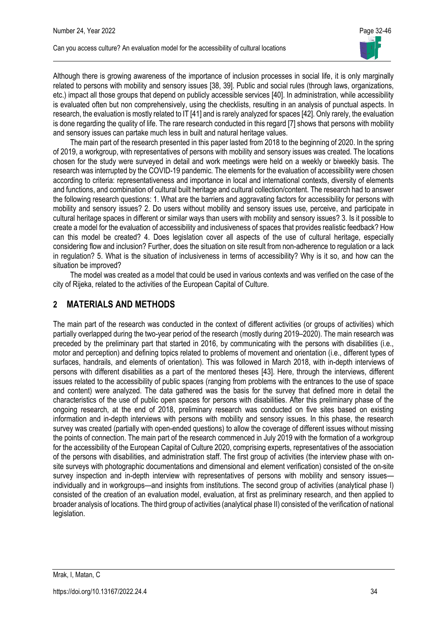

Although there is growing awareness of the importance of inclusion processes in social life, it is only marginally related to persons with mobility and sensory issues [38, 39]. Public and social rules (through laws, organizations, etc.) impact all those groups that depend on publicly accessible services [40]. In administration, while accessibility is evaluated often but non comprehensively, using the checklists, resulting in an analysis of punctual aspects. In research, the evaluation is mostly related to IT [41] and is rarely analyzed for spaces [42]. Only rarely, the evaluation is done regarding the quality of life. The rare research conducted in this regard [7] shows that persons with mobility and sensory issues can partake much less in built and natural heritage values.

The main part of the research presented in this paper lasted from 2018 to the beginning of 2020. In the spring of 2019, a workgroup, with representatives of persons with mobility and sensory issues was created. The locations chosen for the study were surveyed in detail and work meetings were held on a weekly or biweekly basis. The research was interrupted by the COVID-19 pandemic. The elements for the evaluation of accessibility were chosen according to criteria: representativeness and importance in local and international contexts, diversity of elements and functions, and combination of cultural built heritage and cultural collection/content. The research had to answer the following research questions: 1. What are the barriers and aggravating factors for accessibility for persons with mobility and sensory issues? 2. Do users without mobility and sensory issues use, perceive, and participate in cultural heritage spaces in different or similar ways than users with mobility and sensory issues? 3. Is it possible to create a model for the evaluation of accessibility and inclusiveness of spaces that provides realistic feedback? How can this model be created? 4. Does legislation cover all aspects of the use of cultural heritage, especially considering flow and inclusion? Further, does the situation on site result from non-adherence to regulation or a lack in regulation? 5. What is the situation of inclusiveness in terms of accessibility? Why is it so, and how can the situation be improved?

The model was created as a model that could be used in various contexts and was verified on the case of the city of Rijeka, related to the activities of the European Capital of Culture.

## **2 MATERIALS AND METHODS**

The main part of the research was conducted in the context of different activities (or groups of activities) which partially overlapped during the two-year period of the research (mostly during 2019–2020). The main research was preceded by the preliminary part that started in 2016, by communicating with the persons with disabilities (i.e., motor and perception) and defining topics related to problems of movement and orientation (i.e., different types of surfaces, handrails, and elements of orientation). This was followed in March 2018, with in-depth interviews of persons with different disabilities as a part of the mentored theses [43]. Here, through the interviews, different issues related to the accessibility of public spaces (ranging from problems with the entrances to the use of space and content) were analyzed. The data gathered was the basis for the survey that defined more in detail the characteristics of the use of public open spaces for persons with disabilities. After this preliminary phase of the ongoing research, at the end of 2018, preliminary research was conducted on five sites based on existing information and in-depth interviews with persons with mobility and sensory issues. In this phase, the research survey was created (partially with open-ended questions) to allow the coverage of different issues without missing the points of connection. The main part of the research commenced in July 2019 with the formation of a workgroup for the accessibility of the European Capital of Culture 2020, comprising experts, representatives of the association of the persons with disabilities, and administration staff. The first group of activities (the interview phase with onsite surveys with photographic documentations and dimensional and element verification) consisted of the on-site survey inspection and in-depth interview with representatives of persons with mobility and sensory issues individually and in workgroups—and insights from institutions. The second group of activities (analytical phase I) consisted of the creation of an evaluation model, evaluation, at first as preliminary research, and then applied to broader analysis of locations. The third group of activities (analytical phase II) consisted of the verification of national legislation.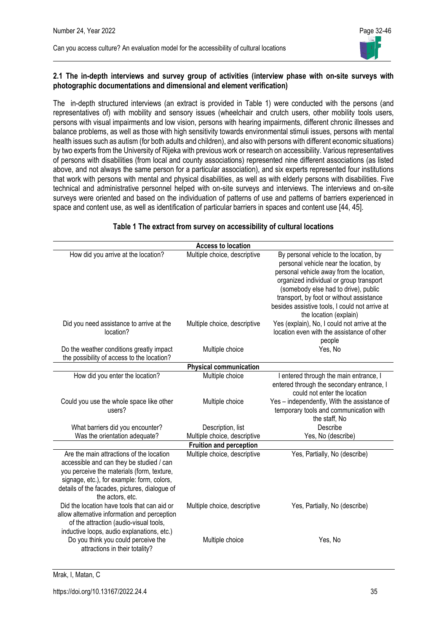

#### **2.1 The in-depth interviews and survey group of activities (interview phase with on-site surveys with photographic documentations and dimensional and element verification)**

The in-depth structured interviews (an extract is provided in Table 1) were conducted with the persons (and representatives of) with mobility and sensory issues (wheelchair and crutch users, other mobility tools users, persons with visual impairments and low vision, persons with hearing impairments, different chronic illnesses and balance problems, as well as those with high sensitivity towards environmental stimuli issues, persons with mental health issues such as autism (for both adults and children), and also with persons with different economic situations) by two experts from the University of Rijeka with previous work or research on accessibility. Various representatives of persons with disabilities (from local and county associations) represented nine different associations (as listed above, and not always the same person for a particular association), and six experts represented four institutions that work with persons with mental and physical disabilities, as well as with elderly persons with disabilities. Five technical and administrative personnel helped with on-site surveys and interviews. The interviews and on-site surveys were oriented and based on the individuation of patterns of use and patterns of barriers experienced in space and content use, as well as identification of particular barriers in spaces and content use [44, 45].

| Multiple choice, descriptive                    | By personal vehicle to the location, by                                                                                                                                                                                                                                                       |
|-------------------------------------------------|-----------------------------------------------------------------------------------------------------------------------------------------------------------------------------------------------------------------------------------------------------------------------------------------------|
|                                                 | personal vehicle near the location, by<br>personal vehicle away from the location,<br>organized individual or group transport<br>(somebody else had to drive), public<br>transport, by foot or without assistance<br>besides assistive tools, I could not arrive at<br>the location (explain) |
| Multiple choice, descriptive                    | Yes (explain), No, I could not arrive at the<br>location even with the assistance of other<br>people                                                                                                                                                                                          |
| Multiple choice                                 | Yes, No                                                                                                                                                                                                                                                                                       |
| <b>Physical communication</b>                   |                                                                                                                                                                                                                                                                                               |
| Multiple choice                                 | I entered through the main entrance, I<br>entered through the secondary entrance, I<br>could not enter the location                                                                                                                                                                           |
| Multiple choice                                 | Yes - independently, With the assistance of<br>temporary tools and communication with<br>the staff, No                                                                                                                                                                                        |
| Description, list                               | Describe                                                                                                                                                                                                                                                                                      |
| Multiple choice, descriptive                    | Yes, No (describe)                                                                                                                                                                                                                                                                            |
| <b>Fruition and perception</b>                  |                                                                                                                                                                                                                                                                                               |
| Multiple choice, descriptive                    | Yes, Partially, No (describe)                                                                                                                                                                                                                                                                 |
| Multiple choice, descriptive<br>Multiple choice | Yes, Partially, No (describe)<br>Yes, No                                                                                                                                                                                                                                                      |
|                                                 |                                                                                                                                                                                                                                                                                               |

#### **Table 1 The extract from survey on accessibility of cultural locations**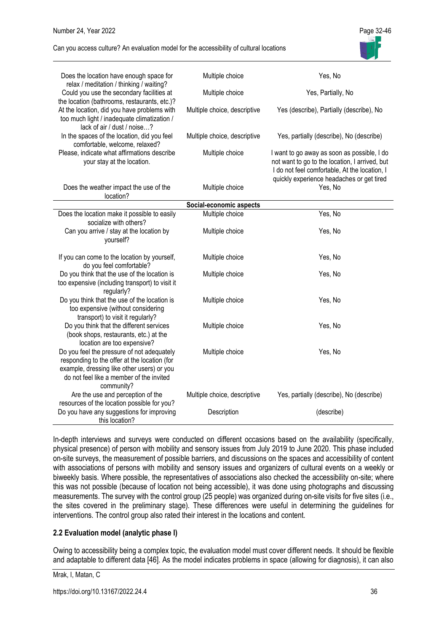

| Does the location have enough space for<br>relax / meditation / thinking / waiting?                                                                                                                | Multiple choice              | Yes, No                                                                                                                                                                                     |
|----------------------------------------------------------------------------------------------------------------------------------------------------------------------------------------------------|------------------------------|---------------------------------------------------------------------------------------------------------------------------------------------------------------------------------------------|
| Could you use the secondary facilities at<br>the location (bathrooms, restaurants, etc.)?                                                                                                          | Multiple choice              | Yes, Partially, No                                                                                                                                                                          |
| At the location, did you have problems with<br>too much light / inadequate climatization /<br>lack of air / dust / noise?                                                                          | Multiple choice, descriptive | Yes (describe), Partially (describe), No                                                                                                                                                    |
| In the spaces of the location, did you feel<br>comfortable, welcome, relaxed?                                                                                                                      | Multiple choice, descriptive | Yes, partially (describe), No (describe)                                                                                                                                                    |
| Please, indicate what affirmations describe<br>your stay at the location.                                                                                                                          | Multiple choice              | I want to go away as soon as possible, I do<br>not want to go to the location, I arrived, but<br>I do not feel comfortable, At the location, I<br>quickly experience headaches or get tired |
| Does the weather impact the use of the<br>location?                                                                                                                                                | Multiple choice              | Yes, No                                                                                                                                                                                     |
|                                                                                                                                                                                                    | Social-economic aspects      |                                                                                                                                                                                             |
| Does the location make it possible to easily<br>socialize with others?                                                                                                                             | Multiple choice              | Yes, No                                                                                                                                                                                     |
| Can you arrive / stay at the location by<br>yourself?                                                                                                                                              | Multiple choice              | Yes, No                                                                                                                                                                                     |
| If you can come to the location by yourself,<br>do you feel comfortable?                                                                                                                           | Multiple choice              | Yes, No                                                                                                                                                                                     |
| Do you think that the use of the location is<br>too expensive (including transport) to visit it<br>regularly?                                                                                      | Multiple choice              | Yes, No                                                                                                                                                                                     |
| Do you think that the use of the location is<br>too expensive (without considering<br>transport) to visit it regularly?                                                                            | Multiple choice              | Yes, No                                                                                                                                                                                     |
| Do you think that the different services<br>(book shops, restaurants, etc.) at the<br>location are too expensive?                                                                                  | Multiple choice              | Yes, No                                                                                                                                                                                     |
| Do you feel the pressure of not adequately<br>responding to the offer at the location (for<br>example, dressing like other users) or you<br>do not feel like a member of the invited<br>community? | Multiple choice              | Yes, No                                                                                                                                                                                     |
| Are the use and perception of the<br>resources of the location possible for you?                                                                                                                   | Multiple choice, descriptive | Yes, partially (describe), No (describe)                                                                                                                                                    |
| Do you have any suggestions for improving<br>this location?                                                                                                                                        | Description                  | (describe)                                                                                                                                                                                  |

In-depth interviews and surveys were conducted on different occasions based on the availability (specifically, physical presence) of person with mobility and sensory issues from July 2019 to June 2020. This phase included on-site surveys, the measurement of possible barriers, and discussions on the spaces and accessibility of content with associations of persons with mobility and sensory issues and organizers of cultural events on a weekly or biweekly basis. Where possible, the representatives of associations also checked the accessibility on-site; where this was not possible (because of location not being accessible), it was done using photographs and discussing measurements. The survey with the control group (25 people) was organized during on-site visits for five sites (i.e., the sites covered in the preliminary stage). These differences were useful in determining the guidelines for interventions. The control group also rated their interest in the locations and content.

### **2.2 Evaluation model (analytic phase I)**

Owing to accessibility being a complex topic, the evaluation model must cover different needs. It should be flexible and adaptable to different data [46]. As the model indicates problems in space (allowing for diagnosis), it can also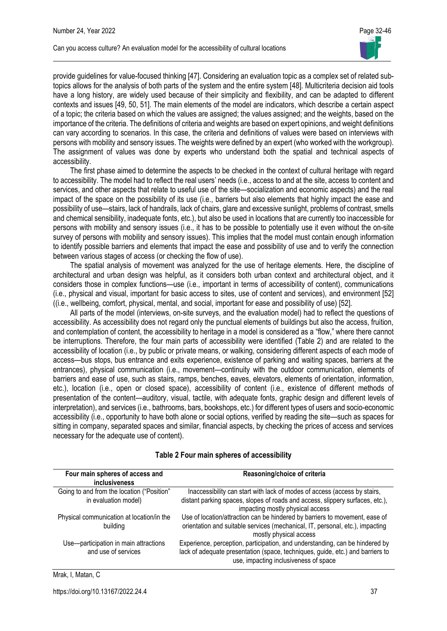provide guidelines for value-focused thinking [47]. Considering an evaluation topic as a complex set of related subtopics allows for the analysis of both parts of the system and the entire system [48]. Multicriteria decision aid tools have a long history, are widely used because of their simplicity and flexibility, and can be adapted to different contexts and issues [49, 50, 51]. The main elements of the model are indicators, which describe a certain aspect of a topic; the criteria based on which the values are assigned; the values assigned; and the weights, based on the importance of the criteria. The definitions of criteria and weights are based on expert opinions, and weight definitions can vary according to scenarios. In this case, the criteria and definitions of values were based on interviews with persons with mobility and sensory issues. The weights were defined by an expert (who worked with the workgroup). The assignment of values was done by experts who understand both the spatial and technical aspects of accessibility.

The first phase aimed to determine the aspects to be checked in the context of cultural heritage with regard to accessibility. The model had to reflect the real users' needs (i.e., access to and at the site, access to content and services, and other aspects that relate to useful use of the site—socialization and economic aspects) and the real impact of the space on the possibility of its use (i.e., barriers but also elements that highly impact the ease and possibility of use—stairs, lack of handrails, lack of chairs, glare and excessive sunlight, problems of contrast, smells and chemical sensibility, inadequate fonts, etc.), but also be used in locations that are currently too inaccessible for persons with mobility and sensory issues (i.e., it has to be possible to potentially use it even without the on-site survey of persons with mobility and sensory issues). This implies that the model must contain enough information to identify possible barriers and elements that impact the ease and possibility of use and to verify the connection between various stages of access (or checking the flow of use).

The spatial analysis of movement was analyzed for the use of heritage elements. Here, the discipline of architectural and urban design was helpful, as it considers both urban context and architectural object, and it considers those in complex functions—use (i.e., important in terms of accessibility of content), communications (i.e., physical and visual, important for basic access to sites, use of content and services), and environment [52] ((i.e., wellbeing, comfort, physical, mental, and social, important for ease and possibility of use) [52].

All parts of the model (interviews, on-site surveys, and the evaluation model) had to reflect the questions of accessibility. As accessibility does not regard only the punctual elements of buildings but also the access, fruition, and contemplation of content, the accessibility to heritage in a model is considered as a "flow," where there cannot be interruptions. Therefore, the four main parts of accessibility were identified (Table 2) and are related to the accessibility of location (i.e., by public or private means, or walking, considering different aspects of each mode of access—bus stops, bus entrance and exits experience, existence of parking and waiting spaces, barriers at the entrances), physical communication (i.e., movement—continuity with the outdoor communication, elements of barriers and ease of use, such as stairs, ramps, benches, eaves, elevators, elements of orientation, information, etc.), location (i.e., open or closed space), accessibility of content (i.e., existence of different methods of presentation of the content—auditory, visual, tactile, with adequate fonts, graphic design and different levels of interpretation), and services (i.e., bathrooms, bars, bookshops, etc.) for different types of users and socio-economic accessibility (i.e., opportunity to have both alone or social options, verified by reading the site—such as spaces for sitting in company, separated spaces and similar, financial aspects, by checking the prices of access and services necessary for the adequate use of content).

| Four main spheres of access and<br>inclusiveness                   | Reasoning/choice of criteria                                                                                                                                                                            |
|--------------------------------------------------------------------|---------------------------------------------------------------------------------------------------------------------------------------------------------------------------------------------------------|
| Going to and from the location ("Position"<br>in evaluation model) | Inaccessibility can start with lack of modes of access (access by stairs,<br>distant parking spaces, slopes of roads and access, slippery surfaces, etc.),<br>impacting mostly physical access          |
| Physical communication at location/in the<br>building              | Use of location/attraction can be hindered by barriers to movement, ease of<br>orientation and suitable services (mechanical, IT, personal, etc.), impacting<br>mostly physical access                  |
| Use-participation in main attractions<br>and use of services       | Experience, perception, participation, and understanding, can be hindered by<br>lack of adequate presentation (space, techniques, guide, etc.) and barriers to<br>use, impacting inclusiveness of space |

#### **Table 2 Four main spheres of accessibility**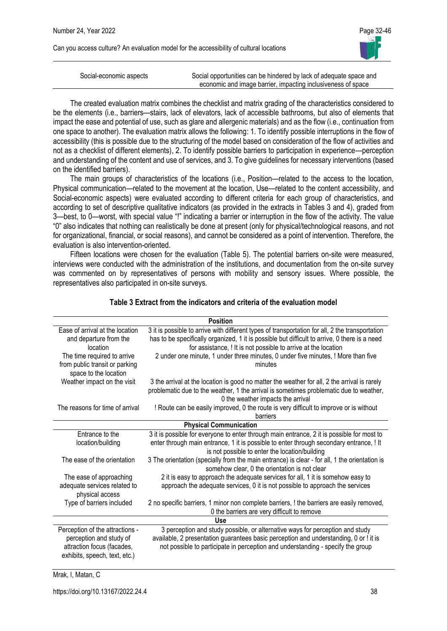

| Social-economic aspects | Social opportunities can be hindered by lack of adequate space and |
|-------------------------|--------------------------------------------------------------------|
|                         |                                                                    |
|                         | economic and image barrier, impacting inclusiveness of space       |

The created evaluation matrix combines the checklist and matrix grading of the characteristics considered to be the elements (i.e., barriers—stairs, lack of elevators, lack of accessible bathrooms, but also of elements that impact the ease and potential of use, such as glare and allergenic materials) and as the flow (i.e., continuation from one space to another). The evaluation matrix allows the following: 1. To identify possible interruptions in the flow of accessibility (this is possible due to the structuring of the model based on consideration of the flow of activities and not as a checklist of different elements), 2. To identify possible barriers to participation in experience—perception and understanding of the content and use of services, and 3. To give guidelines for necessary interventions (based on the identified barriers).

The main groups of characteristics of the locations (i.e., Position—related to the access to the location, Physical communication—related to the movement at the location, Use—related to the content accessibility, and Social-economic aspects) were evaluated according to different criteria for each group of characteristics, and according to set of descriptive qualitative indicators (as provided in the extracts in Tables 3 and 4), graded from 3—best, to 0—worst, with special value "!" indicating a barrier or interruption in the flow of the activity. The value "0" also indicates that nothing can realistically be done at present (only for physical/technological reasons, and not for organizational, financial, or social reasons), and cannot be considered as a point of intervention. Therefore, the evaluation is also intervention-oriented.

Fifteen locations were chosen for the evaluation (Table 5). The potential barriers on-site were measured, interviews were conducted with the administration of the institutions, and documentation from the on-site survey was commented on by representatives of persons with mobility and sensory issues. Where possible, the representatives also participated in on-site surveys.

| <b>Position</b>                                                                                                           |                                                                                                                                                                                                                                                                                                                                                         |  |  |  |  |
|---------------------------------------------------------------------------------------------------------------------------|---------------------------------------------------------------------------------------------------------------------------------------------------------------------------------------------------------------------------------------------------------------------------------------------------------------------------------------------------------|--|--|--|--|
| Ease of arrival at the location<br>and departure from the<br>location<br>The time required to arrive                      | 3 it is possible to arrive with different types of transportation for all, 2 the transportation<br>has to be specifically organized, 1 it is possible but difficult to arrive, 0 there is a need<br>for assistance, ! It is not possible to arrive at the location<br>2 under one minute, 1 under three minutes, 0 under five minutes, ! More than five |  |  |  |  |
| from public transit or parking<br>space to the location                                                                   | minutes                                                                                                                                                                                                                                                                                                                                                 |  |  |  |  |
| Weather impact on the visit                                                                                               | 3 the arrival at the location is good no matter the weather for all, 2 the arrival is rarely<br>problematic due to the weather, 1 the arrival is sometimes problematic due to weather,<br>0 the weather impacts the arrival                                                                                                                             |  |  |  |  |
| The reasons for time of arrival                                                                                           | ! Route can be easily improved, 0 the route is very difficult to improve or is without<br>barriers                                                                                                                                                                                                                                                      |  |  |  |  |
| <b>Physical Communication</b>                                                                                             |                                                                                                                                                                                                                                                                                                                                                         |  |  |  |  |
| Entrance to the<br>location/building                                                                                      | 3 it is possible for everyone to enter through main entrance, 2 it is possible for most to<br>enter through main entrance, 1 it is possible to enter through secondary entrance, ! It<br>is not possible to enter the location/building                                                                                                                 |  |  |  |  |
| The ease of the orientation                                                                                               | 3 The orientation (specially from the main entrance) is clear - for all, 1 the orientation is<br>somehow clear, 0 the orientation is not clear                                                                                                                                                                                                          |  |  |  |  |
| The ease of approaching<br>adequate services related to<br>physical access                                                | 2 it is easy to approach the adequate services for all, 1 it is somehow easy to<br>approach the adequate services, 0 it is not possible to approach the services                                                                                                                                                                                        |  |  |  |  |
| Type of barriers included                                                                                                 | 2 no specific barriers, 1 minor non complete barriers, ! the barriers are easily removed,<br>0 the barriers are very difficult to remove                                                                                                                                                                                                                |  |  |  |  |
| Use                                                                                                                       |                                                                                                                                                                                                                                                                                                                                                         |  |  |  |  |
| Perception of the attractions -<br>perception and study of<br>attraction focus (facades,<br>exhibits, speech, text, etc.) | 3 perception and study possible, or alternative ways for perception and study<br>available, 2 presentation guarantees basic perception and understanding, 0 or ! it is<br>not possible to participate in perception and understanding - specify the group                                                                                               |  |  |  |  |

#### **Table 3 Extract from the indicators and criteria of the evaluation model**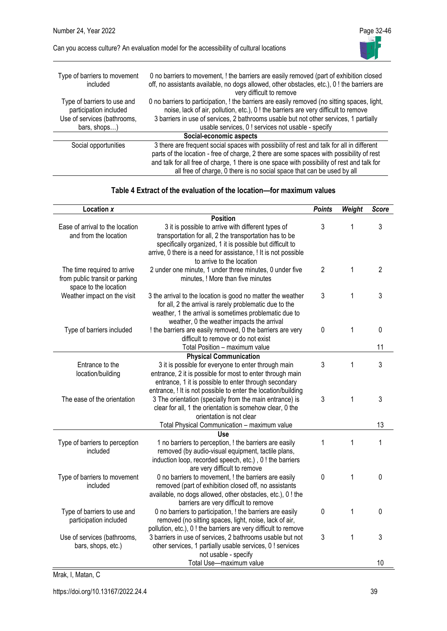

| Type of barriers to movement<br>included                                                             | 0 no barriers to movement, ! the barriers are easily removed (part of exhibition closed<br>off, no assistants available, no dogs allowed, other obstacles, etc.), 0 ! the barriers are<br>very difficult to remove                                                                                                                                             |
|------------------------------------------------------------------------------------------------------|----------------------------------------------------------------------------------------------------------------------------------------------------------------------------------------------------------------------------------------------------------------------------------------------------------------------------------------------------------------|
| Type of barriers to use and<br>participation included<br>Use of services (bathrooms,<br>bars, shops) | 0 no barriers to participation, ! the barriers are easily removed (no sitting spaces, light,<br>noise, lack of air, pollution, etc.), 0 ! the barriers are very difficult to remove<br>3 barriers in use of services, 2 bathrooms usable but not other services, 1 partially<br>usable services, 0 ! services not usable - specify                             |
|                                                                                                      | Social-economic aspects                                                                                                                                                                                                                                                                                                                                        |
| Social opportunities                                                                                 | 3 there are frequent social spaces with possibility of rest and talk for all in different<br>parts of the location - free of charge, 2 there are some spaces with possibility of rest<br>and talk for all free of charge, 1 there is one space with possibility of rest and talk for<br>all free of charge, 0 there is no social space that can be used by all |

#### **Table 4 Extract of the evaluation of the location—for maximum values**

| Location x                                                                             |                                                                                                                                                                                                                                             | <b>Points</b>  | Weight | <b>Score</b>   |
|----------------------------------------------------------------------------------------|---------------------------------------------------------------------------------------------------------------------------------------------------------------------------------------------------------------------------------------------|----------------|--------|----------------|
|                                                                                        | <b>Position</b>                                                                                                                                                                                                                             |                |        |                |
| Ease of arrival to the location<br>and from the location                               | 3 it is possible to arrive with different types of<br>transportation for all, 2 the transportation has to be<br>specifically organized, 1 it is possible but difficult to<br>arrive, 0 there is a need for assistance, ! It is not possible | 3              | 1      | 3              |
| The time required to arrive<br>from public transit or parking<br>space to the location | to arrive to the location<br>2 under one minute, 1 under three minutes, 0 under five<br>minutes, ! More than five minutes                                                                                                                   | $\overline{2}$ | 1      | $\overline{2}$ |
| Weather impact on the visit                                                            | 3 the arrival to the location is good no matter the weather<br>for all, 2 the arrival is rarely problematic due to the<br>weather, 1 the arrival is sometimes problematic due to<br>weather, 0 the weather impacts the arrival              | 3              | 1      | 3              |
| Type of barriers included                                                              | ! the barriers are easily removed, 0 the barriers are very<br>difficult to remove or do not exist                                                                                                                                           | $\mathbf 0$    | 1      | 0              |
|                                                                                        | Total Position - maximum value                                                                                                                                                                                                              |                |        | 11             |
|                                                                                        | <b>Physical Communication</b>                                                                                                                                                                                                               |                |        |                |
| Entrance to the<br>location/building                                                   | 3 it is possible for everyone to enter through main<br>entrance, 2 it is possible for most to enter through main<br>entrance, 1 it is possible to enter through secondary<br>entrance, ! It is not possible to enter the location/building  | 3              | 1      | 3              |
| The ease of the orientation                                                            | 3 The orientation (specially from the main entrance) is<br>clear for all, 1 the orientation is somehow clear, 0 the<br>orientation is not clear                                                                                             | 3              | 1      | 3              |
|                                                                                        | Total Physical Communication - maximum value                                                                                                                                                                                                |                |        | 13             |
|                                                                                        | Use                                                                                                                                                                                                                                         |                |        |                |
| Type of barriers to perception<br>included                                             | 1 no barriers to perception, ! the barriers are easily<br>removed (by audio-visual equipment, tactile plans,<br>induction loop, recorded speech, etc.), 0! the barriers<br>are very difficult to remove                                     | 1              | 1      | 1              |
| Type of barriers to movement<br>included                                               | 0 no barriers to movement, ! the barriers are easily<br>removed (part of exhibition closed off, no assistants<br>available, no dogs allowed, other obstacles, etc.), 0 ! the<br>barriers are very difficult to remove                       | 0              | 1      | 0              |
| Type of barriers to use and<br>participation included                                  | 0 no barriers to participation, ! the barriers are easily<br>removed (no sitting spaces, light, noise, lack of air,<br>pollution, etc.), 0 ! the barriers are very difficult to remove                                                      | $\pmb{0}$      | 1      | 0              |
| Use of services (bathrooms,<br>bars, shops, etc.)                                      | 3 barriers in use of services, 2 bathrooms usable but not<br>other services, 1 partially usable services, 0 ! services<br>not usable - specify                                                                                              | 3              | 1      | 3              |
|                                                                                        | Total Use-maximum value                                                                                                                                                                                                                     |                |        | 10             |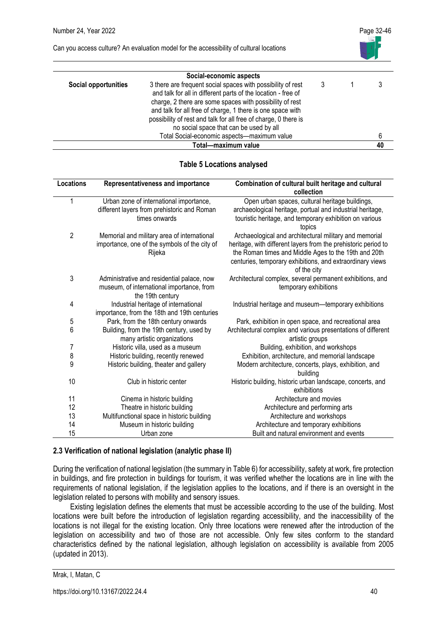

|                             | Social-economic aspects                                                                                                                                                                                                                                                                                                                                              |  |    |
|-----------------------------|----------------------------------------------------------------------------------------------------------------------------------------------------------------------------------------------------------------------------------------------------------------------------------------------------------------------------------------------------------------------|--|----|
| <b>Social opportunities</b> | 3 there are frequent social spaces with possibility of rest<br>and talk for all in different parts of the location - free of<br>charge, 2 there are some spaces with possibility of rest<br>and talk for all free of charge, 1 there is one space with<br>possibility of rest and talk for all free of charge, 0 there is<br>no social space that can be used by all |  |    |
|                             | Total Social-economic aspects-maximum value                                                                                                                                                                                                                                                                                                                          |  | 6  |
|                             | Total-maximum value                                                                                                                                                                                                                                                                                                                                                  |  | 40 |

### **Table 5 Locations analysed**

| <b>Locations</b> | Representativeness and importance                                                                           | Combination of cultural built heritage and cultural<br>collection                                                                                                                                                                                            |
|------------------|-------------------------------------------------------------------------------------------------------------|--------------------------------------------------------------------------------------------------------------------------------------------------------------------------------------------------------------------------------------------------------------|
| 1                | Urban zone of international importance,                                                                     | Open urban spaces, cultural heritage buildings,                                                                                                                                                                                                              |
|                  | different layers from prehistoric and Roman<br>times onwards                                                | archaeological heritage, portual and industrial heritage,<br>touristic heritage, and temporary exhibition on various<br>topics                                                                                                                               |
| $\overline{2}$   | Memorial and military area of international<br>importance, one of the symbols of the city of<br>Rijeka      | Archaeological and architectural military and memorial<br>heritage, with different layers from the prehistoric period to<br>the Roman times and Middle Ages to the 19th and 20th<br>centuries, temporary exhibitions, and extraordinary views<br>of the city |
| 3                | Administrative and residential palace, now<br>museum, of international importance, from<br>the 19th century | Architectural complex, several permanent exhibitions, and<br>temporary exhibitions                                                                                                                                                                           |
| 4                | Industrial heritage of international<br>importance, from the 18th and 19th centuries                        | Industrial heritage and museum-temporary exhibitions                                                                                                                                                                                                         |
| 5                | Park, from the 18th century onwards                                                                         | Park, exhibition in open space, and recreational area                                                                                                                                                                                                        |
| 6                | Building, from the 19th century, used by<br>many artistic organizations                                     | Architectural complex and various presentations of different<br>artistic groups                                                                                                                                                                              |
| 7                | Historic villa, used as a museum                                                                            | Building, exhibition, and workshops                                                                                                                                                                                                                          |
| 8                | Historic building, recently renewed                                                                         | Exhibition, architecture, and memorial landscape                                                                                                                                                                                                             |
| 9                | Historic building, theater and gallery                                                                      | Modern architecture, concerts, plays, exhibition, and<br>building                                                                                                                                                                                            |
| 10               | Club in historic center                                                                                     | Historic building, historic urban landscape, concerts, and<br>exhibitions                                                                                                                                                                                    |
| 11               | Cinema in historic building                                                                                 | Architecture and movies                                                                                                                                                                                                                                      |
| 12               | Theatre in historic building                                                                                | Architecture and performing arts                                                                                                                                                                                                                             |
| 13               | Multifunctional space in historic building                                                                  | Architecture and workshops                                                                                                                                                                                                                                   |
| 14               | Museum in historic building                                                                                 | Architecture and temporary exhibitions                                                                                                                                                                                                                       |
| 15               | Urban zone                                                                                                  | Built and natural environment and events                                                                                                                                                                                                                     |

### **2.3 Verification of national legislation (analytic phase II)**

During the verification of national legislation (the summary in Table 6) for accessibility, safety at work, fire protection in buildings, and fire protection in buildings for tourism, it was verified whether the locations are in line with the requirements of national legislation, if the legislation applies to the locations, and if there is an oversight in the legislation related to persons with mobility and sensory issues.

Existing legislation defines the elements that must be accessible according to the use of the building. Most locations were built before the introduction of legislation regarding accessibility, and the inaccessibility of the locations is not illegal for the existing location. Only three locations were renewed after the introduction of the legislation on accessibility and two of those are not accessible. Only few sites conform to the standard characteristics defined by the national legislation, although legislation on accessibility is available from 2005 (updated in 2013).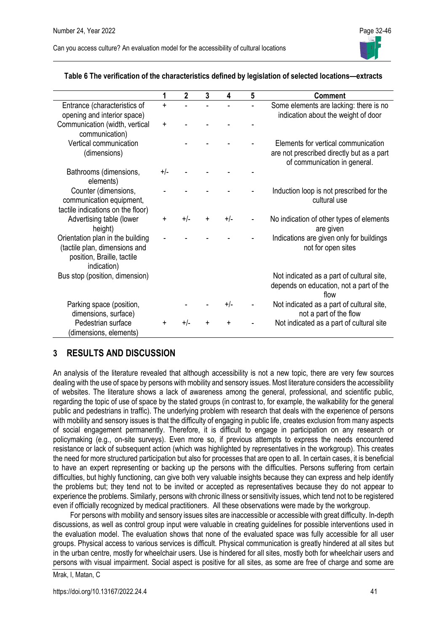

|                                                                                                                | 1          | $\overline{2}$ | 3         | 4         | 5 | <b>Comment</b>                                                                                                   |
|----------------------------------------------------------------------------------------------------------------|------------|----------------|-----------|-----------|---|------------------------------------------------------------------------------------------------------------------|
| Entrance (characteristics of<br>opening and interior space)                                                    | $\ddagger$ |                |           |           |   | Some elements are lacking: there is no<br>indication about the weight of door                                    |
| Communication (width, vertical<br>communication)                                                               | $\ddot{}$  |                |           |           |   |                                                                                                                  |
| Vertical communication<br>(dimensions)                                                                         |            |                |           |           |   | Elements for vertical communication<br>are not prescribed directly but as a part<br>of communication in general. |
| Bathrooms (dimensions,<br>elements)                                                                            | $+/-$      |                |           |           |   |                                                                                                                  |
| Counter (dimensions,<br>communication equipment,<br>tactile indications on the floor)                          |            |                |           |           |   | Induction loop is not prescribed for the<br>cultural use                                                         |
| Advertising table (lower<br>height)                                                                            | ÷          | $+/-$          | $\pm$     | +/-       |   | No indication of other types of elements<br>are given                                                            |
| Orientation plan in the building<br>(tactile plan, dimensions and<br>position, Braille, tactile<br>indication) |            |                |           |           |   | Indications are given only for buildings<br>not for open sites                                                   |
| Bus stop (position, dimension)                                                                                 |            |                |           |           |   | Not indicated as a part of cultural site,<br>depends on education, not a part of the<br>flow                     |
| Parking space (position,<br>dimensions, surface)                                                               |            |                |           | +/-       |   | Not indicated as a part of cultural site,<br>not a part of the flow                                              |
| Pedestrian surface<br>(dimensions, elements)                                                                   | +          | $+/-$          | $\ddot{}$ | $\ddot{}$ |   | Not indicated as a part of cultural site                                                                         |

#### **Table 6 The verification of the characteristics defined by legislation of selected locations—extracts**

## **3 RESULTS AND DISCUSSION**

An analysis of the literature revealed that although accessibility is not a new topic, there are very few sources dealing with the use of space by persons with mobility and sensory issues. Most literature considers the accessibility of websites. The literature shows a lack of awareness among the general, professional, and scientific public, regarding the topic of use of space by the stated groups (in contrast to, for example, the walkability for the general public and pedestrians in traffic). The underlying problem with research that deals with the experience of persons with mobility and sensory issues is that the difficulty of engaging in public life, creates exclusion from many aspects of social engagement permanently. Therefore, it is difficult to engage in participation on any research or policymaking (e.g., on-site surveys). Even more so, if previous attempts to express the needs encountered resistance or lack of subsequent action (which was highlighted by representatives in the workgroup). This creates the need for more structured participation but also for processes that are open to all. In certain cases, it is beneficial to have an expert representing or backing up the persons with the difficulties. Persons suffering from certain difficulties, but highly functioning, can give both very valuable insights because they can express and help identify the problems but; they tend not to be invited or accepted as representatives because they do not appear to experience the problems. Similarly, persons with chronic illness or sensitivity issues, which tend not to be registered even if officially recognized by medical practitioners. All these observations were made by the workgroup.

For persons with mobility and sensory issues sites are inaccessible or accessible with great difficulty. In-depth discussions, as well as control group input were valuable in creating guidelines for possible interventions used in the evaluation model. The evaluation shows that none of the evaluated space was fully accessible for all user groups. Physical access to various services is difficult. Physical communication is greatly hindered at all sites but in the urban centre, mostly for wheelchair users. Use is hindered for all sites, mostly both for wheelchair users and persons with visual impairment. Social aspect is positive for all sites, as some are free of charge and some are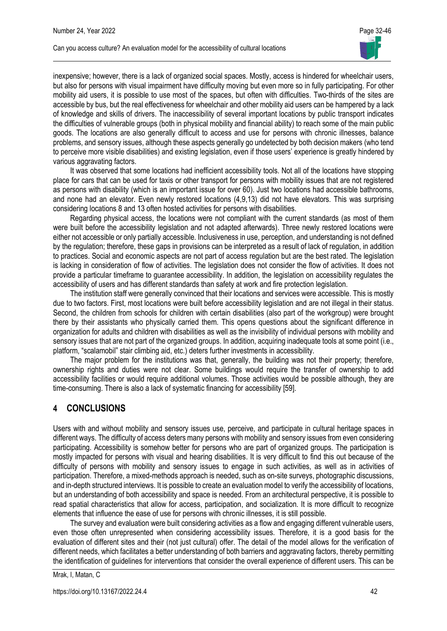

inexpensive; however, there is a lack of organized social spaces. Mostly, access is hindered for wheelchair users, but also for persons with visual impairment have difficulty moving but even more so in fully participating. For other mobility aid users, it is possible to use most of the spaces, but often with difficulties. Two-thirds of the sites are accessible by bus, but the real effectiveness for wheelchair and other mobility aid users can be hampered by a lack of knowledge and skills of drivers. The inaccessibility of several important locations by public transport indicates the difficulties of vulnerable groups (both in physical mobility and financial ability) to reach some of the main public goods. The locations are also generally difficult to access and use for persons with chronic illnesses, balance problems, and sensory issues, although these aspects generally go undetected by both decision makers (who tend to perceive more visible disabilities) and existing legislation, even if those users' experience is greatly hindered by various aggravating factors.

It was observed that some locations had inefficient accessibility tools. Not all of the locations have stopping place for cars that can be used for taxis or other transport for persons with mobility issues that are not registered as persons with disability (which is an important issue for over 60). Just two locations had accessible bathrooms, and none had an elevator. Even newly restored locations (4,9,13) did not have elevators. This was surprising considering locations 8 and 13 often hosted activities for persons with disabilities.

Regarding physical access, the locations were not compliant with the current standards (as most of them were built before the accessibility legislation and not adapted afterwards). Three newly restored locations were either not accessible or only partially accessible. Inclusiveness in use, perception, and understanding is not defined by the regulation; therefore, these gaps in provisions can be interpreted as a result of lack of regulation, in addition to practices. Social and economic aspects are not part of access regulation but are the best rated. The legislation is lacking in consideration of flow of activities. The legislation does not consider the flow of activities. It does not provide a particular timeframe to guarantee accessibility. In addition, the legislation on accessibility regulates the accessibility of users and has different standards than safety at work and fire protection legislation.

The institution staff were generally convinced that their locations and services were accessible. This is mostly due to two factors. First, most locations were built before accessibility legislation and are not illegal in their status. Second, the children from schools for children with certain disabilities (also part of the workgroup) were brought there by their assistants who physically carried them. This opens questions about the significant difference in organization for adults and children with disabilities as well as the invisibility of individual persons with mobility and sensory issues that are not part of the organized groups. In addition, acquiring inadequate tools at some point (i.e., platform, "scalamobil" stair climbing aid, etc.) deters further investments in accessibility.

The major problem for the institutions was that, generally, the building was not their property; therefore, ownership rights and duties were not clear. Some buildings would require the transfer of ownership to add accessibility facilities or would require additional volumes. Those activities would be possible although, they are time-consuming. There is also a lack of systematic financing for accessibility [59].

## **4 CONCLUSIONS**

Users with and without mobility and sensory issues use, perceive, and participate in cultural heritage spaces in different ways. The difficulty of access deters many persons with mobility and sensory issues from even considering participating. Accessibility is somehow better for persons who are part of organized groups. The participation is mostly impacted for persons with visual and hearing disabilities. It is very difficult to find this out because of the difficulty of persons with mobility and sensory issues to engage in such activities, as well as in activities of participation. Therefore, a mixed-methods approach is needed, such as on-site surveys, photographic discussions, and in-depth structured interviews. It is possible to create an evaluation model to verify the accessibility of locations, but an understanding of both accessibility and space is needed. From an architectural perspective, it is possible to read spatial characteristics that allow for access, participation, and socialization. It is more difficult to recognize elements that influence the ease of use for persons with chronic illnesses, it is still possible.

The survey and evaluation were built considering activities as a flow and engaging different vulnerable users, even those often unrepresented when considering accessibility issues. Therefore, it is a good basis for the evaluation of different sites and their (not just cultural) offer. The detail of the model allows for the verification of different needs, which facilitates a better understanding of both barriers and aggravating factors, thereby permitting the identification of guidelines for interventions that consider the overall experience of different users. This can be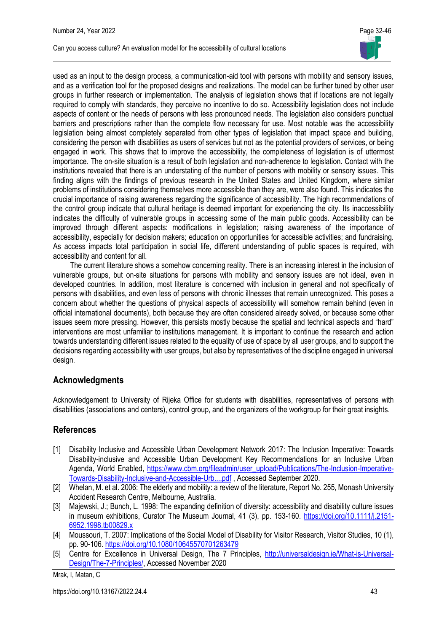used as an input to the design process, a communication-aid tool with persons with mobility and sensory issues, and as a verification tool for the proposed designs and realizations. The model can be further tuned by other user groups in further research or implementation. The analysis of legislation shows that if locations are not legally required to comply with standards, they perceive no incentive to do so. Accessibility legislation does not include aspects of content or the needs of persons with less pronounced needs. The legislation also considers punctual barriers and prescriptions rather than the complete flow necessary for use. Most notable was the accessibility legislation being almost completely separated from other types of legislation that impact space and building, considering the person with disabilities as users of services but not as the potential providers of services, or being engaged in work. This shows that to improve the accessibility, the completeness of legislation is of uttermost importance. The on-site situation is a result of both legislation and non-adherence to legislation. Contact with the institutions revealed that there is an understating of the number of persons with mobility or sensory issues. This finding aligns with the findings of previous research in the United States and United Kingdom, where similar problems of institutions considering themselves more accessible than they are, were also found. This indicates the crucial importance of raising awareness regarding the significance of accessibility. The high recommendations of the control group indicate that cultural heritage is deemed important for experiencing the city. Its inaccessibility indicates the difficulty of vulnerable groups in accessing some of the main public goods. Accessibility can be improved through different aspects: modifications in legislation; raising awareness of the importance of accessibility, especially for decision makers; education on opportunities for accessible activities; and fundraising. As access impacts total participation in social life, different understanding of public spaces is required, with accessibility and content for all.

The current literature shows a somehow concerning reality. There is an increasing interest in the inclusion of vulnerable groups, but on-site situations for persons with mobility and sensory issues are not ideal, even in developed countries. In addition, most literature is concerned with inclusion in general and not specifically of persons with disabilities, and even less of persons with chronic illnesses that remain unrecognized. This poses a concern about whether the questions of physical aspects of accessibility will somehow remain behind (even in official international documents), both because they are often considered already solved, or because some other issues seem more pressing. However, this persists mostly because the spatial and technical aspects and "hard" interventions are most unfamiliar to institutions management. It is important to continue the research and action towards understanding different issues related to the equality of use of space by all user groups, and to support the decisions regarding accessibility with user groups, but also by representatives of the discipline engaged in universal design.

## **Acknowledgments**

Acknowledgement to University of Rijeka Office for students with disabilities, representatives of persons with disabilities (associations and centers), control group, and the organizers of the workgroup for their great insights.

## **References**

- [1] Disability Inclusive and Accessible Urban Development Network 2017: The Inclusion Imperative: Towards Disability-inclusive and Accessible Urban Development Key Recommendations for an Inclusive Urban Agenda, World Enabled, [https://www.cbm.org/fileadmin/user\\_upload/Publications/The-Inclusion-Imperative-](https://www.cbm.org/fileadmin/user_upload/Publications/The-Inclusion-Imperative-Towards-Disability-Inclusive-and-Accessible-Urb....pdf)[Towards-Disability-Inclusive-and-Accessible-Urb....pdf](https://www.cbm.org/fileadmin/user_upload/Publications/The-Inclusion-Imperative-Towards-Disability-Inclusive-and-Accessible-Urb....pdf) , Accessed September 2020.
- [2] Whelan, M. et al. 2006: The elderly and mobility: a review of the literature, Report No. 255, Monash University Accident Research Centre, Melbourne, Australia.
- [3] Majewski, J.; Bunch, L. 1998: The expanding definition of diversity: accessibility and disability culture issues in museum exhibitions, Curator The Museum Journal, 41 (3), pp. 153-160. [https://doi.org/10.1111/j.2151-](https://doi.org/10.1111/j.2151-6952.1998.tb00829.x) [6952.1998.tb00829.x](https://doi.org/10.1111/j.2151-6952.1998.tb00829.x)
- [4] Moussouri, T. 2007: Implications of the Social Model of Disability for Visitor Research, Visitor Studies, 10 (1), pp. 90-106. <https://doi.org/10.1080/10645570701263479>
- [5] Centre for Excellence in Universal Design, The 7 Principles, [http://universaldesign.ie/What-is-Universal-](http://universaldesign.ie/What-is-Universal-Design/The-7-Principles/)[Design/The-7-Principles/,](http://universaldesign.ie/What-is-Universal-Design/The-7-Principles/) Accessed November 2020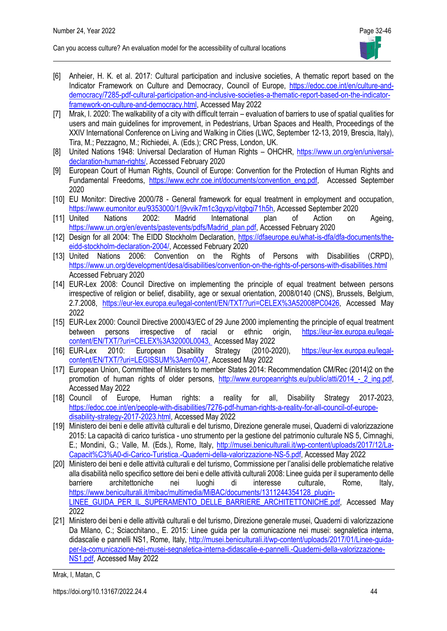- [6] Anheier, H. K. et al. 2017: Cultural participation and inclusive societies, A thematic report based on the Indicator Framework on Culture and Democracy, Council of Europe, [https://edoc.coe.int/en/culture-and](https://edoc.coe.int/en/culture-and-democracy/7285-pdf-cultural-participation-and-inclusive-societies-a-thematic-report-based-on-the-indicator-framework-on-culture-and-democracy.html)[democracy/7285-pdf-cultural-participation-and-inclusive-societies-a-thematic-report-based-on-the-indicator](https://edoc.coe.int/en/culture-and-democracy/7285-pdf-cultural-participation-and-inclusive-societies-a-thematic-report-based-on-the-indicator-framework-on-culture-and-democracy.html)[framework-on-culture-and-democracy.html,](https://edoc.coe.int/en/culture-and-democracy/7285-pdf-cultural-participation-and-inclusive-societies-a-thematic-report-based-on-the-indicator-framework-on-culture-and-democracy.html) Accessed May 2022
- [7] Mrak, I. 2020: The walkability of a city with difficult terrain evaluation of barriers to use of spatial qualities for users and main guidelines for improvement, in Pedestrians, Urban Spaces and Health, Proceedings of the XXIV International Conference on Living and Walking in Cities (LWC, September 12-13, 2019, Brescia, Italy), Tira, M.; Pezzagno, M.; Richiedei, A. (Eds.); CRC Press, London, UK.
- [8] United Nations 1948: Universal Declaration of Human Rights OHCHR, [https://www.un.org/en/universal](https://www.un.org/en/universal-declaration-human-rights/)[declaration-human-rights/,](https://www.un.org/en/universal-declaration-human-rights/) Accessed February 2020
- [9] European Court of Human Rights, Council of Europe: Convention for the Protection of Human Rights and Fundamental Freedoms, [https://www.echr.coe.int/documents/convention\\_eng.pdf,](https://www.echr.coe.int/documents/convention_eng.pdf) Accessed September 2020
- [10] EU Monitor: Directive 2000/78 General framework for equal treatment in employment and occupation, [https://www.eumonitor.eu/9353000/1/j9vvik7m1c3gyxp/vitgbgi71h5h,](https://www.eumonitor.eu/9353000/1/j9vvik7m1c3gyxp/vitgbgi71h5h) Accessed September 2020<br>United Nations 2002: Madrid International plan of Action on
- [11] United Nations 2002: Madrid International plan of Action on Ageing, [https://www.un.org/en/events/pastevents/pdfs/Madrid\\_plan.pdf,](https://www.un.org/en/events/pastevents/pdfs/Madrid_plan.pdf) Accessed February 2020
- [12] Design for all 2004: The EIDD Stockholm Declaration, [https://dfaeurope.eu/what-is-dfa/dfa-documents/the](https://dfaeurope.eu/what-is-dfa/dfa-documents/the-eidd-stockholm-declaration-2004/)[eidd-stockholm-declaration-2004/,](https://dfaeurope.eu/what-is-dfa/dfa-documents/the-eidd-stockholm-declaration-2004/) Accessed February 2020
- [13] United Nations 2006: Convention on the Rights of Persons with Disabilities (CRPD), <https://www.un.org/development/desa/disabilities/convention-on-the-rights-of-persons-with-disabilities.html> Accessed February 2020
- [14] EUR-Lex 2008: Council Directive on implementing the principle of equal treatment between persons irrespective of religion or belief, disability, age or sexual orientation, 2008/0140 (CNS), Brussels, Belgium, 2.7.2008, [https://eur-lex.europa.eu/legal-content/EN/TXT/?uri=CELEX%3A52008PC0426,](https://eur-lex.europa.eu/legal-content/EN/TXT/?uri=CELEX%3A52008PC0426) Accessed May 2022
- [15] EUR-Lex 2000: Council Directive 2000/43/EC of 29 June 2000 implementing the principle of equal treatment between persons irrespective of racial or ethnic origin, [https://eur-lex.europa.eu/legal](https://eur-lex.europa.eu/legal-content/EN/TXT/?uri=CELEX%3A32000L0043)[content/EN/TXT/?uri=CELEX%3A32000L0043,](https://eur-lex.europa.eu/legal-content/EN/TXT/?uri=CELEX%3A32000L0043) Accessed May 2022
- [16] EUR-Lex 2010: European Disability Strategy (2010-2020), [https://eur-lex.europa.eu/legal](https://eur-lex.europa.eu/legal-content/EN/TXT/?uri=LEGISSUM%3Aem0047)[content/EN/TXT/?uri=LEGISSUM%3Aem0047,](https://eur-lex.europa.eu/legal-content/EN/TXT/?uri=LEGISSUM%3Aem0047) Accessed May 2022
- [17] European Union, Committee of Ministers to member States 2014: Recommendation CM/Rec (2014)2 on the promotion of human rights of older persons, http://www.europeanrights.eu/public/atti/2014 - 2 ing.pdf, Accessed May 2022
- [18] Council of Europe, Human rights: a reality for all, Disability Strategy 2017-2023, [https://edoc.coe.int/en/people-with-disabilities/7276-pdf-human-rights-a-reality-for-all-council-of-europe](https://edoc.coe.int/en/people-with-disabilities/7276-pdf-human-rights-a-reality-for-all-council-of-europe-disability-strategy-2017-2023.html)[disability-strategy-2017-2023.html,](https://edoc.coe.int/en/people-with-disabilities/7276-pdf-human-rights-a-reality-for-all-council-of-europe-disability-strategy-2017-2023.html) Accessed May 2022
- [19] Ministero dei beni e delle attività culturali e del turismo, Direzione generale musei, Quaderni di valorizzazione 2015: La capacità di carico turistica - uno strumento per la gestione del patrimonio culturale NS 5, Cimnaghi, E.; Mondini, G.; Valle, M. (Eds.), Rome, Italy, [http://musei.beniculturali.it/wp-content/uploads/2017/12/La-](http://musei.beniculturali.it/wp-content/uploads/2017/12/La-Capacit%C3%A0-di-Carico-Turistica.-Quaderni-della-valorizzazione-NS-5.pdf)[Capacit%C3%A0-di-Carico-Turistica.-Quaderni-della-valorizzazione-NS-5.pdf,](http://musei.beniculturali.it/wp-content/uploads/2017/12/La-Capacit%C3%A0-di-Carico-Turistica.-Quaderni-della-valorizzazione-NS-5.pdf) Accessed May 2022
- [20] Ministero dei beni e delle attività culturali e del turismo, Commissione per l'analisi delle problematiche relative alla disabilità nello specifico settore dei beni e delle attività culturali 2008: Linee guida per il superamento delle barriere architettoniche nei luoghi di interesse culturale, Rome, Italy, [https://www.beniculturali.it/mibac/multimedia/MiBAC/documents/1311244354128\\_plugin-](https://www.beniculturali.it/mibac/multimedia/MiBAC/documents/1311244354128_plugin-LINEE_GUIDA_PER_IL_SUPERAMENTO_DELLE_BARRIERE_ARCHITETTONICHE.pdf)[LINEE\\_GUIDA\\_PER\\_IL\\_SUPERAMENTO\\_DELLE\\_BARRIERE\\_ARCHITETTONICHE.pdf,](https://www.beniculturali.it/mibac/multimedia/MiBAC/documents/1311244354128_plugin-LINEE_GUIDA_PER_IL_SUPERAMENTO_DELLE_BARRIERE_ARCHITETTONICHE.pdf) Accessed May 2022
- [21] Ministero dei beni e delle attività culturali e del turismo, Direzione generale musei, Quaderni di valorizzazione Da Milano, C.; Sciacchitano., E. 2015: Linee guida per la comunicazione nei musei: segnaletica interna, didascalie e pannelli NS1, Rome, Italy, [http://musei.beniculturali.it/wp-content/uploads/2017/01/Linee-guida](http://musei.beniculturali.it/wp-content/uploads/2017/01/Linee-guida-per-la-comunicazione-nei-musei-segnaletica-interna-didascalie-e-pannelli.-Quaderni-della-valorizzazione-NS1.pdf)[per-la-comunicazione-nei-musei-segnaletica-interna-didascalie-e-pannelli.-Quaderni-della-valorizzazione-](http://musei.beniculturali.it/wp-content/uploads/2017/01/Linee-guida-per-la-comunicazione-nei-musei-segnaletica-interna-didascalie-e-pannelli.-Quaderni-della-valorizzazione-NS1.pdf)[NS1.pdf,](http://musei.beniculturali.it/wp-content/uploads/2017/01/Linee-guida-per-la-comunicazione-nei-musei-segnaletica-interna-didascalie-e-pannelli.-Quaderni-della-valorizzazione-NS1.pdf) Accessed May 2022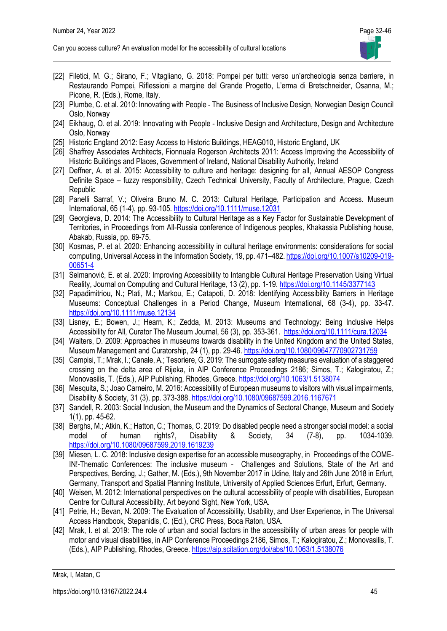- [22] Filetici, M. G.; Sirano, F.; Vitagliano, G. 2018: Pompei per tutti: verso un'archeologia senza barriere, in Restaurando Pompei, Riflessioni a margine del Grande Progetto, L'erma di Bretschneider, Osanna, M.; Picone, R. (Eds.), Rome, Italy.
- [23] Plumbe, C. et al. 2010: Innovating with People The Business of Inclusive Design, Norwegian Design Council Oslo, Norway
- [24] Eikhaug, O. et al. 2019: Innovating with People Inclusive Design and Architecture, Design and Architecture Oslo, Norway
- [25] Historic England 2012: Easy Access to Historic Buildings, HEAG010, Historic England, UK
- [26] Shaffrey Associates Architects, Fionnuala Rogerson Architects 2011: Access Improving the Accessibility of Historic Buildings and Places, Government of Ireland, National Disability Authority, Ireland
- [27] Deffner, A. et al. 2015: Accessibility to culture and heritage: designing for all, Annual AESOP Congress Definite Space – fuzzy responsibility, Czech Technical University, Faculty of Architecture, Prague, Czech Republic
- [28] Panelli Sarraf, V.; Oliveira Bruno M. C. 2013: Cultural Heritage, Participation and Access. Museum International, 65 (1-4), pp. 93-105. <https://doi.org/10.1111/muse.12031>
- [29] Georgieva, D. 2014: The Accessibility to Cultural Heritage as a Key Factor for Sustainable Development of Territories, in Proceedings from All-Russia conference of Indigenous peoples, Khakassia Publishing house, Abakab, Russia, pp. 69-75.
- [30] Kosmas, P. et al. 2020: Enhancing accessibility in cultural heritage environments: considerations for social computing, Universal Access in the Information Society, 19, pp. 471–482[. https://doi.org/10.1007/s10209-019-](https://doi.org/10.1007/s10209-019-00651-4) [00651-4](https://doi.org/10.1007/s10209-019-00651-4)
- [31] Selmanović, E. et al. 2020: Improving Accessibility to Intangible Cultural Heritage Preservation Using Virtual Reality, Journal on Computing and Cultural Heritage, 13 (2), pp. 1-19. <https://doi.org/10.1145/3377143>
- [32] Papadimitriou, N.; Plati, M.; Markou, E.; Catapoti, D. 2018: Identifying Accessibility Barriers in Heritage Museums: Conceptual Challenges in a Period Change, Museum International, 68 (3-4), pp. 33-47. <https://doi.org/10.1111/muse.12134>
- [33] Lisney, E.; Bowen, J.; Hearn, K.; Zedda, M. 2013: Museums and Technology: Being Inclusive Helps Accessibility for All, Curator The Museum Journal, 56 (3), pp. 353-361. <https://doi.org/10.1111/cura.12034>
- [34] Walters, D. 2009: Approaches in museums towards disability in the United Kingdom and the United States, Museum Management and Curatorship, 24 (1), pp. 29-46.<https://doi.org/10.1080/09647770902731759>
- [35] Campisi, T.; Mrak, I.; Canale, A.; Tesoriere, G. 2019: The surrogate safety measures evaluation of a staggered crossing on the delta area of Rijeka, in AIP Conference Proceedings 2186; Simos, T.; Kalogiratou, Z.; Monovasilis, T. (Eds.), AIP Publishing, Rhodes, Greece. <https://doi.org/10.1063/1.5138074>
- [36] Mesquita, S.; Joao Carneiro, M. 2016: Accessibility of European museums to visitors with visual impairments, Disability & Society, 31 (3), pp. 373-388. <https://doi.org/10.1080/09687599.2016.1167671>
- [37] Sandell, R. 2003: Social Inclusion, the Museum and the Dynamics of Sectoral Change, Museum and Society 1(1), pp. 45-62.
- [38] Berghs, M.; Atkin, K.; Hatton, C.; Thomas, C. 2019: Do disabled people need a stronger social model: a social model of human rights?, Disability & Society, 34 (7-8), pp. 1034-1039. <https://doi.org/10.1080/09687599.2019.1619239>
- [39] Miesen, L. C. 2018: Inclusive design expertise for an accessible museography, in Proceedings of the COME-IN!-Thematic Conferences: The inclusive museum ‐ Challenges and Solutions, State of the Art and Perspectives, Berding, J.; Gather, M. (Eds.), 9th November 2017 in Udine, Italy and 26th June 2018 in Erfurt, Germany, Transport and Spatial Planning Institute, University of Applied Sciences Erfurt, Erfurt, Germany.
- [40] Weisen, M. 2012: International perspectives on the cultural accessibility of people with disabilities, European Centre for Cultural Accessibility, Art beyond Sight, New York, USA.
- [41] Petrie, H.; Bevan, N. 2009: The Evaluation of Accessibility, Usability, and User Experience, in The Universal Access Handbook, Stepanidis, C. (Ed.), CRC Press, Boca Raton, USA.
- [42] Mrak, I. et al. 2019: The role of urban and social factors in the accessibility of urban areas for people with motor and visual disabilities, in AIP Conference Proceedings 2186, Simos, T.; Kalogiratou, Z.; Monovasilis, T. (Eds.), AIP Publishing, Rhodes, Greece. <https://aip.scitation.org/doi/abs/10.1063/1.5138076>